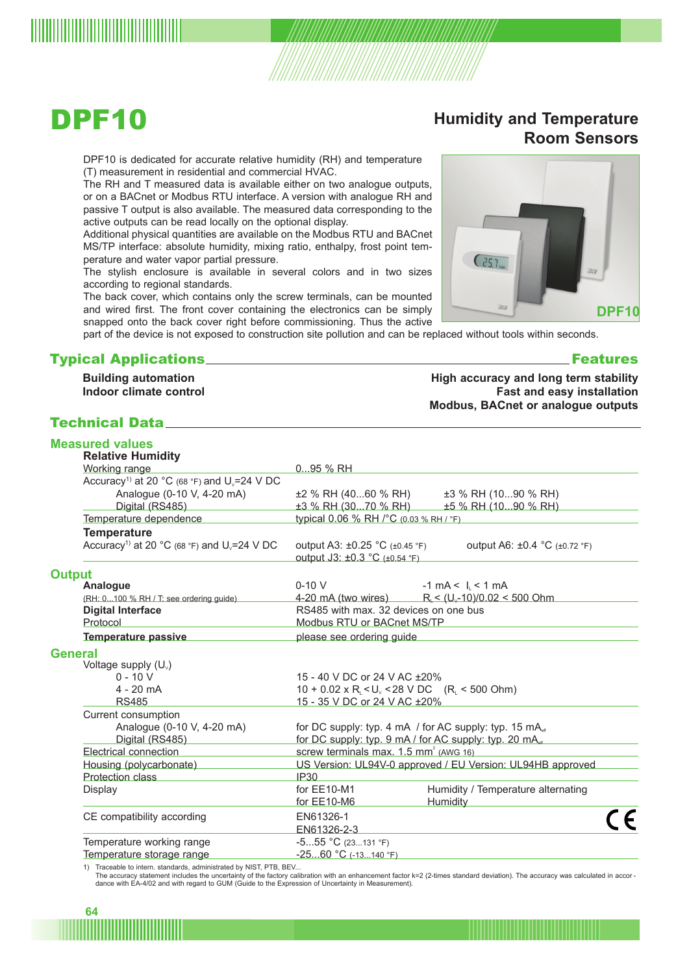

# DPF<sub>10</sub>

### **Humidity and Temperature Room Sensors**

DPF10 is dedicated for accurate relative humidity (RH) and temperature (T) measurement in residential and commercial HVAC.

The RH and T measured data is available either on two analogue outputs, or on a BACnet or Modbus RTU interface. A version with analogue RH and passive T output is also available. The measured data corresponding to the active outputs can be read locally on the optional display.

Additional physical quantities are available on the Modbus RTU and BACnet MS/TP interface: absolute humidity, mixing ratio, enthalpy, frost point temperature and water vapor partial pressure.

The stylish enclosure is available in several colors and in two sizes according to regional standards.

The back cover, which contains only the screw terminals, can be mounted and wired first. The front cover containing the electronics can be simply snapped onto the back cover right before commissioning. Thus the active

part of the device is not exposed to construction site pollution and can be replaced without tools within seconds.

#### Typical Applications Features

**Building automation Indoor climate control**

### Technical Data

| <b>Measured values</b>                                              |                                                                                  |                                    |  |
|---------------------------------------------------------------------|----------------------------------------------------------------------------------|------------------------------------|--|
| <b>Relative Humidity</b>                                            |                                                                                  |                                    |  |
| Working range                                                       | $095%$ RH                                                                        |                                    |  |
| Accuracy <sup>1)</sup> at 20 °C (68 °F) and U <sub>v</sub> =24 V DC |                                                                                  |                                    |  |
| Analogue (0-10 V, 4-20 mA)                                          | ±2 % RH (4060 % RH)                                                              | ±3 % RH (1090 % RH)                |  |
| Digital (RS485)                                                     | ±3 % RH (3070 % RH) ±5 % RH (1090 % RH)                                          |                                    |  |
| Temperature dependence                                              | typical 0.06 % RH /°C (0.03 % RH / °F)                                           |                                    |  |
| <b>Temperature</b>                                                  |                                                                                  |                                    |  |
| Accuracy <sup>1)</sup> at 20 °C (68 °F) and U <sub>v</sub> =24 V DC | output A3: $\pm 0.25$ °C ( $\pm 0.45$ °F)<br>output J3: ±0.3 °C (±0.54 °F)       | output A6: ±0.4 °C (±0.72 °F)      |  |
| <b>Output</b>                                                       |                                                                                  |                                    |  |
| Analogue                                                            | $0-10V$                                                                          | $-1$ mA < I <sub>i</sub> < 1 mA    |  |
| (RH: 0100 % RH / T: see ordering guide)                             | 4-20 mA (two wires) $R_i < (U_i - 10)/0.02 < 500$ Ohm                            |                                    |  |
| <b>Digital Interface</b>                                            | RS485 with max. 32 devices on one bus                                            |                                    |  |
| Protocol                                                            | Modbus RTU or BACnet MS/TP                                                       |                                    |  |
| <b>Temperature passive</b>                                          | please see ordering guide                                                        |                                    |  |
| <b>General</b>                                                      |                                                                                  |                                    |  |
| Voltage supply (U <sub>v</sub> )                                    |                                                                                  |                                    |  |
| $0 - 10 V$                                                          | 15 - 40 V DC or 24 V AC ± 20%                                                    |                                    |  |
| $4 - 20$ mA                                                         | 10 + 0.02 x R <sub>L</sub> < U <sub>v</sub> < 28 V DC (R <sub>L</sub> < 500 Ohm) |                                    |  |
| <b>RS485</b>                                                        | 15 - 35 V DC or 24 V AC ± 20%                                                    |                                    |  |
| Current consumption                                                 |                                                                                  |                                    |  |
| Analogue (0-10 V, 4-20 mA)                                          | for DC supply: typ. 4 mA / for AC supply: typ. 15 mA <sub>eff</sub>              |                                    |  |
| Digital (RS485)                                                     | for DC supply: typ. 9 mA / for AC supply: typ. 20 mA <sub>ef</sub>               |                                    |  |
| Electrical connection                                               | screw terminals max. $1.5$ mm <sup>2</sup> (AWG 16)                              |                                    |  |
| Housing (polycarbonate)                                             | US Version: UL94V-0 approved / EU Version: UL94HB approved                       |                                    |  |
| Protection class                                                    | <b>IP30</b>                                                                      |                                    |  |
| Display                                                             | for EE10-M1                                                                      | Humidity / Temperature alternating |  |
|                                                                     | <b>Humidity</b><br>for EE10-M6                                                   |                                    |  |
| CE compatibility according                                          | EN61326-1                                                                        |                                    |  |
|                                                                     | EN61326-2-3                                                                      |                                    |  |
| Temperature working range                                           | $-555$ °C (23131 °F)                                                             |                                    |  |

Temperature storage range -25...60 °C (-13...140 °F)

1) Traceable to intern. standards, administrated by NIST, PTB, BEV...

The accuracy statement includes the uncertainty of the factory calibration with an enhancement factor k=2 (2-times standard deviation). The accuracy was calculated in accor-<br>dance with EA-4/02 and with regard to GUM (Guide



#### **High accuracy and long term stability Fast and easy installation Modbus, BACnet or analogue outputs**

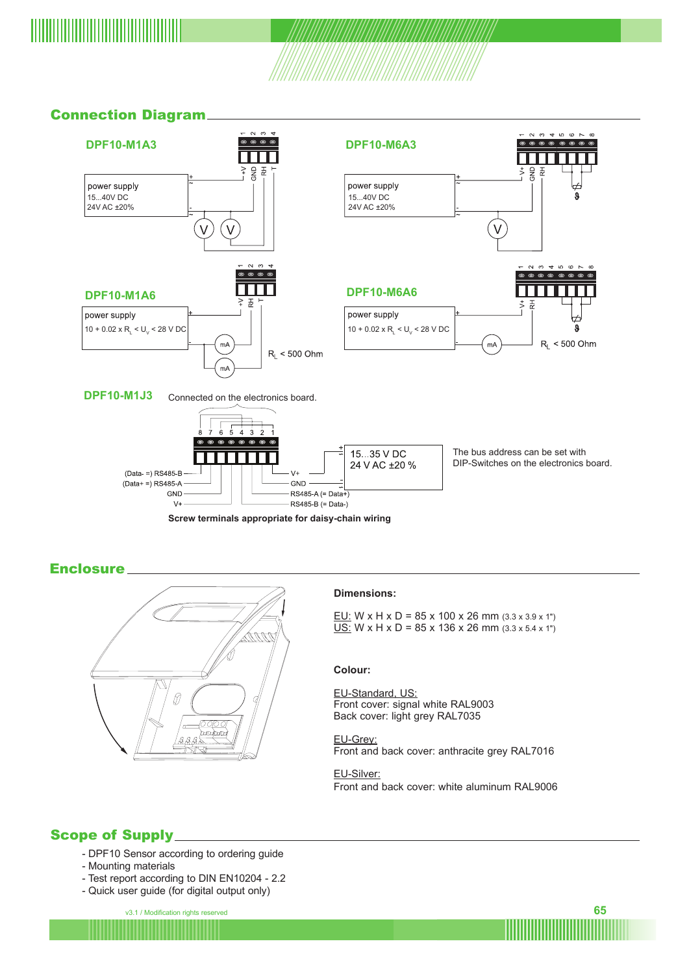

### Connection Diagram



**Screw terminals appropriate for daisy-chain wiring**

**Enclosure** 



#### **Dimensions:**

EU: W x H x D = 85 x 100 x 26 mm  $(3.3 \times 3.9 \times 1")$  $\underline{US:}$  W x H x D = 85 x 136 x 26 mm (3.3 x 5.4 x 1")

#### **Colour:**

EU-Standard, US: Front cover: signal white RAL9003 Back cover: light grey RAL7035

EU-Grey: Front and back cover: anthracite grey RAL7016

EU-Silver: Front and back cover: white aluminum RAL9006

#### Scope of Supply

- DPF10 Sensor according to ordering guide
- Mounting materials
- Test report according to DIN EN10204 2.2
- Quick user guide (for digital output only)